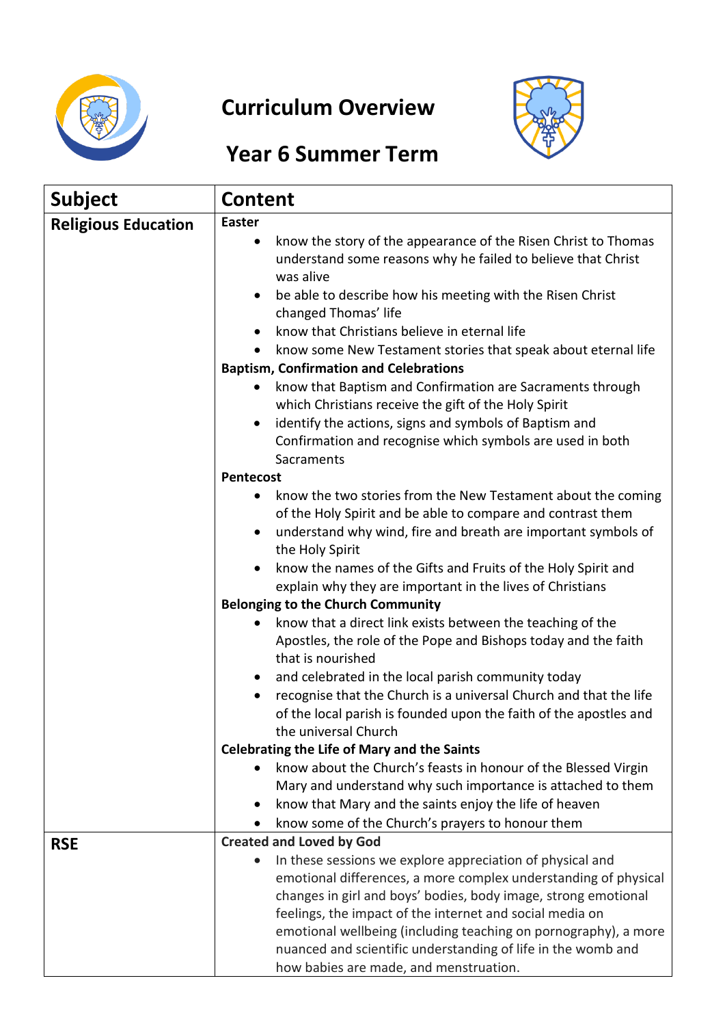

## **Curriculum Overview**



## **Year 6 Summer Term**

| <b>Subject</b>             | Content                                                                                                                           |
|----------------------------|-----------------------------------------------------------------------------------------------------------------------------------|
| <b>Religious Education</b> | <b>Easter</b>                                                                                                                     |
|                            | know the story of the appearance of the Risen Christ to Thomas<br>٠                                                               |
|                            | understand some reasons why he failed to believe that Christ<br>was alive                                                         |
|                            | be able to describe how his meeting with the Risen Christ<br>$\bullet$                                                            |
|                            | changed Thomas' life                                                                                                              |
|                            | know that Christians believe in eternal life<br>$\bullet$                                                                         |
|                            | know some New Testament stories that speak about eternal life                                                                     |
|                            | <b>Baptism, Confirmation and Celebrations</b>                                                                                     |
|                            | know that Baptism and Confirmation are Sacraments through<br>which Christians receive the gift of the Holy Spirit                 |
|                            | identify the actions, signs and symbols of Baptism and<br>٠                                                                       |
|                            | Confirmation and recognise which symbols are used in both                                                                         |
|                            | Sacraments<br>Pentecost                                                                                                           |
|                            | know the two stories from the New Testament about the coming<br>٠                                                                 |
|                            | of the Holy Spirit and be able to compare and contrast them                                                                       |
|                            | understand why wind, fire and breath are important symbols of<br>$\bullet$                                                        |
|                            | the Holy Spirit                                                                                                                   |
|                            | know the names of the Gifts and Fruits of the Holy Spirit and                                                                     |
|                            | explain why they are important in the lives of Christians                                                                         |
|                            | <b>Belonging to the Church Community</b>                                                                                          |
|                            | know that a direct link exists between the teaching of the<br>٠<br>Apostles, the role of the Pope and Bishops today and the faith |
|                            | that is nourished                                                                                                                 |
|                            | and celebrated in the local parish community today<br>$\bullet$                                                                   |
|                            | recognise that the Church is a universal Church and that the life<br>$\bullet$                                                    |
|                            | of the local parish is founded upon the faith of the apostles and                                                                 |
|                            | the universal Church                                                                                                              |
|                            | <b>Celebrating the Life of Mary and the Saints</b>                                                                                |
|                            | know about the Church's feasts in honour of the Blessed Virgin                                                                    |
|                            | Mary and understand why such importance is attached to them                                                                       |
|                            | know that Mary and the saints enjoy the life of heaven<br>$\bullet$<br>know some of the Church's prayers to honour them           |
| <b>RSE</b>                 | <b>Created and Loved by God</b>                                                                                                   |
|                            | In these sessions we explore appreciation of physical and<br>$\bullet$                                                            |
|                            | emotional differences, a more complex understanding of physical                                                                   |
|                            | changes in girl and boys' bodies, body image, strong emotional                                                                    |
|                            | feelings, the impact of the internet and social media on                                                                          |
|                            | emotional wellbeing (including teaching on pornography), a more                                                                   |
|                            | nuanced and scientific understanding of life in the womb and                                                                      |
|                            | how babies are made, and menstruation.                                                                                            |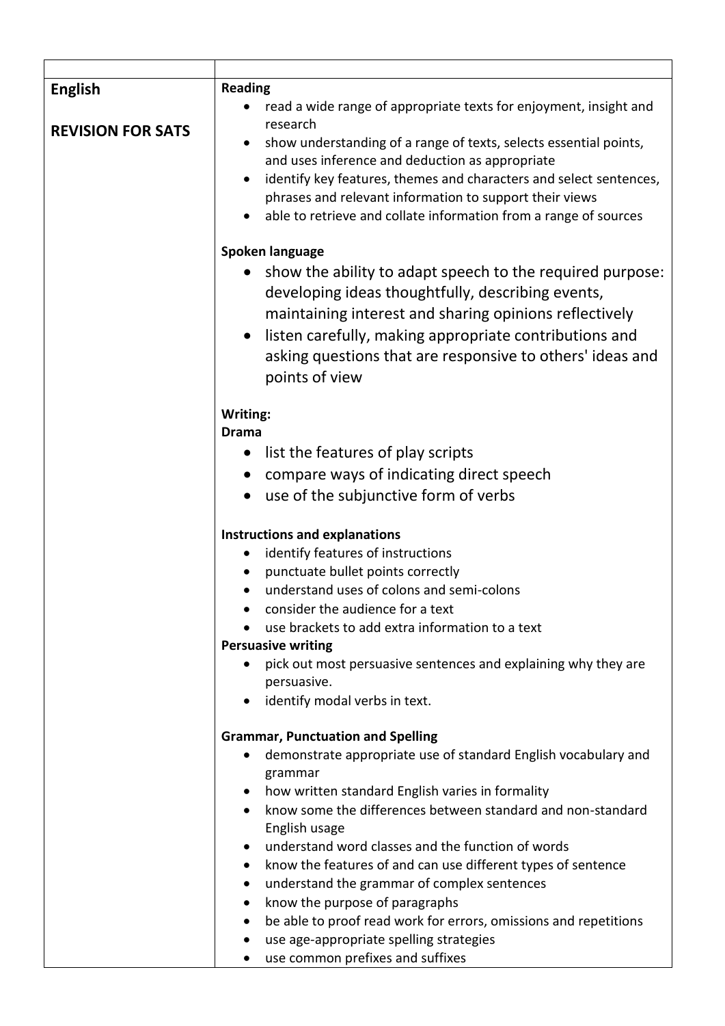| <b>English</b>           | <b>Reading</b>                                                                                                                                                                                                                                                                                                                        |  |  |  |  |
|--------------------------|---------------------------------------------------------------------------------------------------------------------------------------------------------------------------------------------------------------------------------------------------------------------------------------------------------------------------------------|--|--|--|--|
|                          | read a wide range of appropriate texts for enjoyment, insight and                                                                                                                                                                                                                                                                     |  |  |  |  |
| <b>REVISION FOR SATS</b> | research<br>show understanding of a range of texts, selects essential points,<br>and uses inference and deduction as appropriate<br>identify key features, themes and characters and select sentences,<br>phrases and relevant information to support their views<br>able to retrieve and collate information from a range of sources |  |  |  |  |
|                          | Spoken language                                                                                                                                                                                                                                                                                                                       |  |  |  |  |
|                          | show the ability to adapt speech to the required purpose:<br>developing ideas thoughtfully, describing events,<br>maintaining interest and sharing opinions reflectively<br>listen carefully, making appropriate contributions and<br>$\bullet$<br>asking questions that are responsive to others' ideas and<br>points of view        |  |  |  |  |
|                          | Writing:                                                                                                                                                                                                                                                                                                                              |  |  |  |  |
|                          | <b>Drama</b>                                                                                                                                                                                                                                                                                                                          |  |  |  |  |
|                          | list the features of play scripts<br>$\bullet$                                                                                                                                                                                                                                                                                        |  |  |  |  |
|                          | compare ways of indicating direct speech<br>$\bullet$                                                                                                                                                                                                                                                                                 |  |  |  |  |
|                          | use of the subjunctive form of verbs                                                                                                                                                                                                                                                                                                  |  |  |  |  |
|                          | <b>Instructions and explanations</b>                                                                                                                                                                                                                                                                                                  |  |  |  |  |
|                          | identify features of instructions                                                                                                                                                                                                                                                                                                     |  |  |  |  |
|                          | punctuate bullet points correctly                                                                                                                                                                                                                                                                                                     |  |  |  |  |
|                          | understand uses of colons and semi-colons                                                                                                                                                                                                                                                                                             |  |  |  |  |
|                          | consider the audience for a text                                                                                                                                                                                                                                                                                                      |  |  |  |  |
|                          | use brackets to add extra information to a text                                                                                                                                                                                                                                                                                       |  |  |  |  |
|                          | <b>Persuasive writing</b>                                                                                                                                                                                                                                                                                                             |  |  |  |  |
|                          | pick out most persuasive sentences and explaining why they are<br>persuasive.                                                                                                                                                                                                                                                         |  |  |  |  |
|                          | identify modal verbs in text.                                                                                                                                                                                                                                                                                                         |  |  |  |  |
|                          | <b>Grammar, Punctuation and Spelling</b>                                                                                                                                                                                                                                                                                              |  |  |  |  |
|                          | demonstrate appropriate use of standard English vocabulary and                                                                                                                                                                                                                                                                        |  |  |  |  |
|                          | grammar                                                                                                                                                                                                                                                                                                                               |  |  |  |  |
|                          | how written standard English varies in formality                                                                                                                                                                                                                                                                                      |  |  |  |  |
|                          | know some the differences between standard and non-standard                                                                                                                                                                                                                                                                           |  |  |  |  |
|                          | English usage                                                                                                                                                                                                                                                                                                                         |  |  |  |  |
|                          | understand word classes and the function of words                                                                                                                                                                                                                                                                                     |  |  |  |  |
|                          | know the features of and can use different types of sentence                                                                                                                                                                                                                                                                          |  |  |  |  |
|                          | understand the grammar of complex sentences<br>$\bullet$                                                                                                                                                                                                                                                                              |  |  |  |  |
|                          | know the purpose of paragraphs<br>$\bullet$                                                                                                                                                                                                                                                                                           |  |  |  |  |
|                          | be able to proof read work for errors, omissions and repetitions<br>use age-appropriate spelling strategies                                                                                                                                                                                                                           |  |  |  |  |
|                          | use common prefixes and suffixes                                                                                                                                                                                                                                                                                                      |  |  |  |  |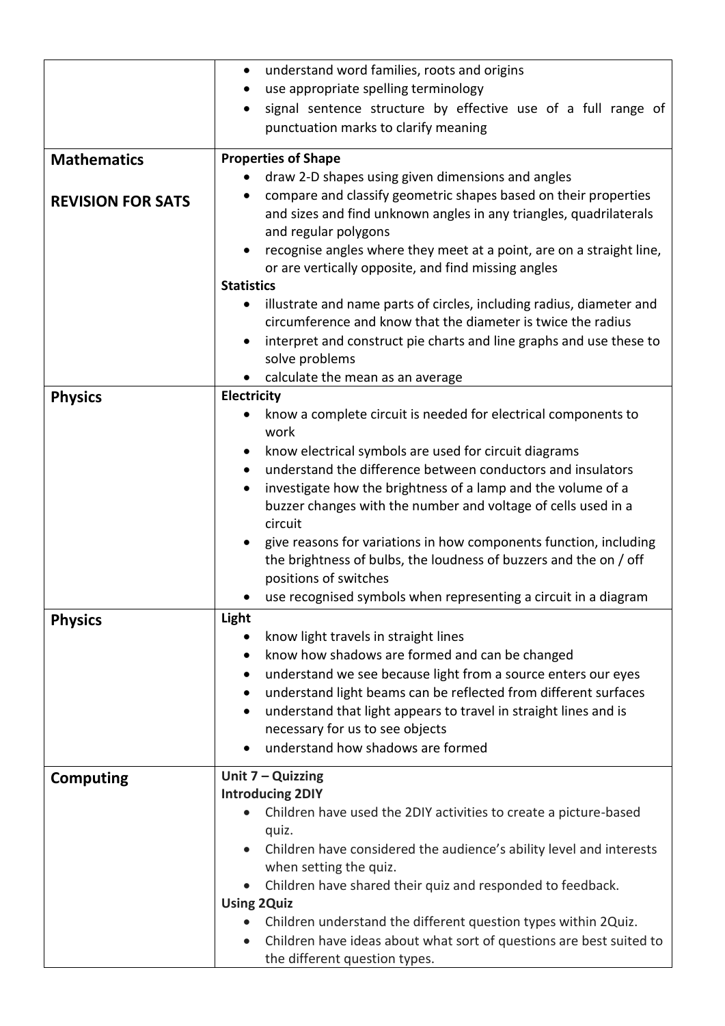|                          | understand word families, roots and origins<br>$\bullet$                                                                               |  |  |
|--------------------------|----------------------------------------------------------------------------------------------------------------------------------------|--|--|
|                          | use appropriate spelling terminology<br>$\bullet$                                                                                      |  |  |
|                          | signal sentence structure by effective use of a full range of                                                                          |  |  |
|                          | punctuation marks to clarify meaning                                                                                                   |  |  |
|                          |                                                                                                                                        |  |  |
| <b>Mathematics</b>       | <b>Properties of Shape</b>                                                                                                             |  |  |
|                          | draw 2-D shapes using given dimensions and angles                                                                                      |  |  |
| <b>REVISION FOR SATS</b> | compare and classify geometric shapes based on their properties                                                                        |  |  |
|                          | and sizes and find unknown angles in any triangles, quadrilaterals                                                                     |  |  |
|                          | and regular polygons                                                                                                                   |  |  |
|                          | recognise angles where they meet at a point, are on a straight line,                                                                   |  |  |
|                          | or are vertically opposite, and find missing angles                                                                                    |  |  |
|                          | <b>Statistics</b>                                                                                                                      |  |  |
|                          | illustrate and name parts of circles, including radius, diameter and<br>$\bullet$                                                      |  |  |
|                          | circumference and know that the diameter is twice the radius                                                                           |  |  |
|                          | interpret and construct pie charts and line graphs and use these to<br>$\bullet$                                                       |  |  |
|                          | solve problems                                                                                                                         |  |  |
|                          | calculate the mean as an average<br>$\bullet$                                                                                          |  |  |
| <b>Physics</b>           | Electricity                                                                                                                            |  |  |
|                          | know a complete circuit is needed for electrical components to                                                                         |  |  |
|                          | work                                                                                                                                   |  |  |
|                          | know electrical symbols are used for circuit diagrams                                                                                  |  |  |
|                          | understand the difference between conductors and insulators<br>$\bullet$                                                               |  |  |
|                          | investigate how the brightness of a lamp and the volume of a<br>$\bullet$                                                              |  |  |
|                          | buzzer changes with the number and voltage of cells used in a                                                                          |  |  |
|                          | circuit                                                                                                                                |  |  |
|                          | give reasons for variations in how components function, including<br>the brightness of bulbs, the loudness of buzzers and the on / off |  |  |
|                          | positions of switches                                                                                                                  |  |  |
|                          | use recognised symbols when representing a circuit in a diagram                                                                        |  |  |
|                          |                                                                                                                                        |  |  |
| <b>Physics</b>           | Light                                                                                                                                  |  |  |
|                          | know light travels in straight lines<br>know how shadows are formed and can be changed                                                 |  |  |
|                          |                                                                                                                                        |  |  |
|                          | understand we see because light from a source enters our eyes<br>understand light beams can be reflected from different surfaces       |  |  |
|                          | $\bullet$                                                                                                                              |  |  |
|                          | understand that light appears to travel in straight lines and is<br>$\bullet$<br>necessary for us to see objects                       |  |  |
|                          | understand how shadows are formed                                                                                                      |  |  |
|                          |                                                                                                                                        |  |  |
| <b>Computing</b>         | Unit $7 -$ Quizzing                                                                                                                    |  |  |
|                          | <b>Introducing 2DIY</b>                                                                                                                |  |  |
|                          | Children have used the 2DIY activities to create a picture-based                                                                       |  |  |
|                          | quiz.                                                                                                                                  |  |  |
|                          | Children have considered the audience's ability level and interests                                                                    |  |  |
|                          | when setting the quiz.                                                                                                                 |  |  |
|                          | Children have shared their quiz and responded to feedback.                                                                             |  |  |
|                          | <b>Using 2Quiz</b>                                                                                                                     |  |  |
|                          | Children understand the different question types within 2Quiz.                                                                         |  |  |
|                          | Children have ideas about what sort of questions are best suited to                                                                    |  |  |
|                          | the different question types.                                                                                                          |  |  |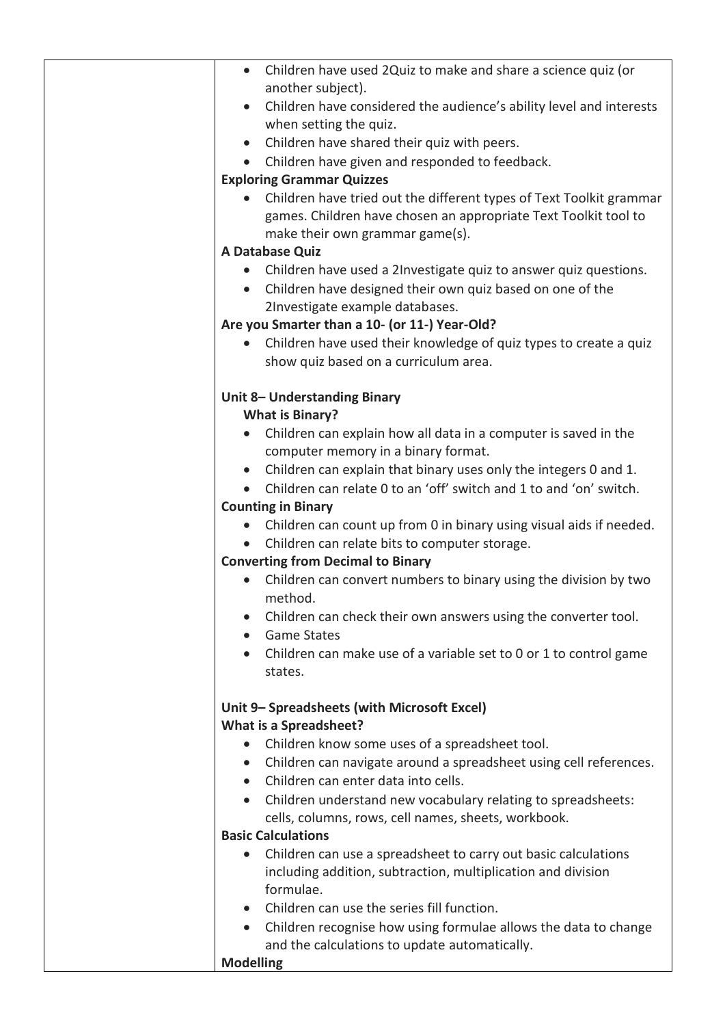| Children have used 2Quiz to make and share a science quiz (or<br>$\bullet$                                                             |
|----------------------------------------------------------------------------------------------------------------------------------------|
| another subject).                                                                                                                      |
| Children have considered the audience's ability level and interests                                                                    |
| when setting the quiz.                                                                                                                 |
| Children have shared their quiz with peers.<br>$\bullet$                                                                               |
| Children have given and responded to feedback.<br>$\bullet$<br><b>Exploring Grammar Quizzes</b>                                        |
|                                                                                                                                        |
| Children have tried out the different types of Text Toolkit grammar<br>games. Children have chosen an appropriate Text Toolkit tool to |
| make their own grammar game(s).                                                                                                        |
| A Database Quiz                                                                                                                        |
| Children have used a 2Investigate quiz to answer quiz questions.<br>$\bullet$                                                          |
| Children have designed their own quiz based on one of the                                                                              |
| 2Investigate example databases.                                                                                                        |
| Are you Smarter than a 10- (or 11-) Year-Old?                                                                                          |
| Children have used their knowledge of quiz types to create a quiz<br>$\bullet$                                                         |
| show quiz based on a curriculum area.                                                                                                  |
| Unit 8- Understanding Binary                                                                                                           |
| <b>What is Binary?</b>                                                                                                                 |
| Children can explain how all data in a computer is saved in the<br>$\bullet$                                                           |
| computer memory in a binary format.                                                                                                    |
| Children can explain that binary uses only the integers 0 and 1.<br>$\bullet$                                                          |
| Children can relate 0 to an 'off' switch and 1 to and 'on' switch.                                                                     |
| <b>Counting in Binary</b>                                                                                                              |
| Children can count up from 0 in binary using visual aids if needed.<br>$\bullet$                                                       |
| Children can relate bits to computer storage.<br>$\bullet$                                                                             |
| <b>Converting from Decimal to Binary</b>                                                                                               |
| Children can convert numbers to binary using the division by two                                                                       |
| method.                                                                                                                                |
| Children can check their own answers using the converter tool.                                                                         |
| <b>Game States</b>                                                                                                                     |
| Children can make use of a variable set to 0 or 1 to control game                                                                      |
| states.                                                                                                                                |
| Unit 9- Spreadsheets (with Microsoft Excel)                                                                                            |
| <b>What is a Spreadsheet?</b>                                                                                                          |
| Children know some uses of a spreadsheet tool.<br>$\bullet$                                                                            |
| Children can navigate around a spreadsheet using cell references.<br>$\bullet$                                                         |
| Children can enter data into cells.<br>$\bullet$                                                                                       |
| Children understand new vocabulary relating to spreadsheets:                                                                           |
| cells, columns, rows, cell names, sheets, workbook.                                                                                    |
| <b>Basic Calculations</b>                                                                                                              |
| Children can use a spreadsheet to carry out basic calculations<br>$\bullet$                                                            |
| including addition, subtraction, multiplication and division<br>formulae.                                                              |
| Children can use the series fill function.                                                                                             |
| $\bullet$                                                                                                                              |
| Children recognise how using formulae allows the data to change<br>$\bullet$<br>and the calculations to update automatically.          |
| <b>Modelling</b>                                                                                                                       |
|                                                                                                                                        |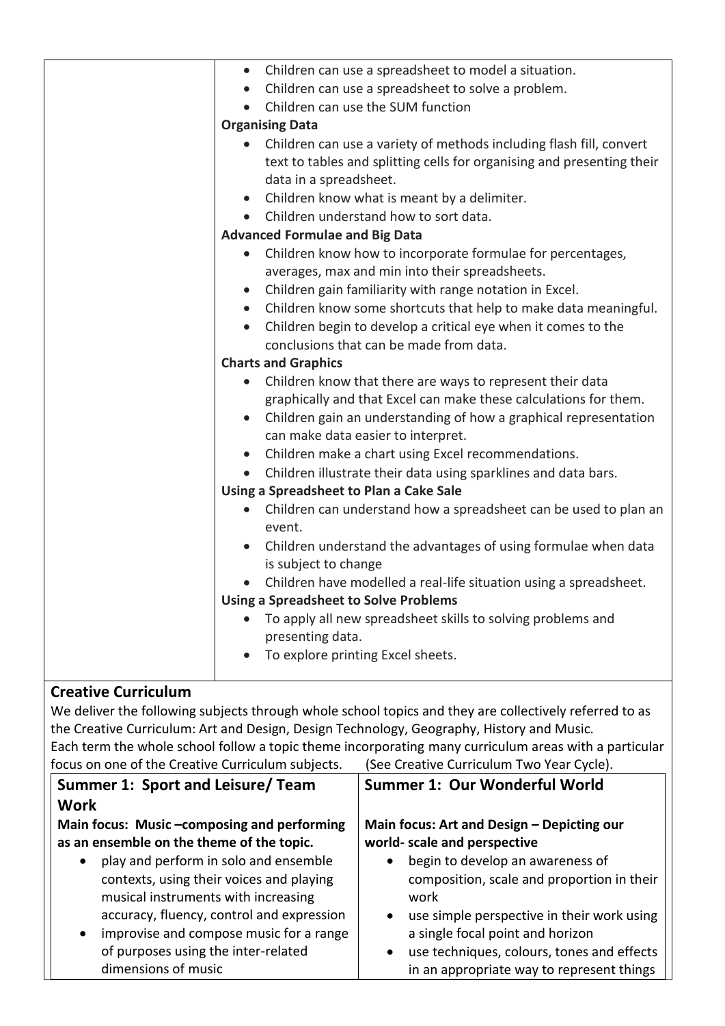| • Children can use a spreadsheet to model a situation.                        |
|-------------------------------------------------------------------------------|
| Children can use a spreadsheet to solve a problem.<br>$\bullet$               |
| Children can use the SUM function<br>$\bullet$                                |
| <b>Organising Data</b>                                                        |
| Children can use a variety of methods including flash fill, convert           |
| text to tables and splitting cells for organising and presenting their        |
| data in a spreadsheet.                                                        |
| • Children know what is meant by a delimiter.                                 |
| • Children understand how to sort data.                                       |
| <b>Advanced Formulae and Big Data</b>                                         |
| • Children know how to incorporate formulae for percentages,                  |
| averages, max and min into their spreadsheets.                                |
| • Children gain familiarity with range notation in Excel.                     |
| Children know some shortcuts that help to make data meaningful.<br>$\bullet$  |
| Children begin to develop a critical eye when it comes to the<br>$\bullet$    |
| conclusions that can be made from data.                                       |
| <b>Charts and Graphics</b>                                                    |
| Children know that there are ways to represent their data<br>$\bullet$        |
| graphically and that Excel can make these calculations for them.              |
| Children gain an understanding of how a graphical representation<br>$\bullet$ |
| can make data easier to interpret.                                            |
| Children make a chart using Excel recommendations.<br>$\bullet$               |
| Children illustrate their data using sparklines and data bars.                |
| Using a Spreadsheet to Plan a Cake Sale                                       |
| Children can understand how a spreadsheet can be used to plan an<br>$\bullet$ |
| event.                                                                        |
| Children understand the advantages of using formulae when data                |
| is subject to change                                                          |
| Children have modelled a real-life situation using a spreadsheet.             |
| <b>Using a Spreadsheet to Solve Problems</b>                                  |
| • To apply all new spreadsheet skills to solving problems and                 |
| presenting data.                                                              |
| To explore printing Excel sheets.                                             |
|                                                                               |

## **Creative Curriculum**

We deliver the following subjects through whole school topics and they are collectively referred to as the Creative Curriculum: Art and Design, Design Technology, Geography, History and Music. Each term the whole school follow a topic theme incorporating many curriculum areas with a particular focus on one of the Creative Curriculum subjects. (See Creative Curriculum Two Year Cycle).

| rocus on one or the creative curriculum subjects.    | <u>JCC CICQUVC CUITICUIUIII TWO TCUI CVCICI.</u>        |
|------------------------------------------------------|---------------------------------------------------------|
| Summer 1: Sport and Leisure/ Team                    | <b>Summer 1: Our Wonderful World</b>                    |
| <b>Work</b>                                          |                                                         |
| Main focus: Music -composing and performing          | Main focus: Art and Design - Depicting our              |
| as an ensemble on the theme of the topic.            | world- scale and perspective                            |
| play and perform in solo and ensemble<br>$\bullet$   | begin to develop an awareness of                        |
| contexts, using their voices and playing             | composition, scale and proportion in their              |
| musical instruments with increasing                  | work                                                    |
| accuracy, fluency, control and expression            | use simple perspective in their work using<br>$\bullet$ |
| improvise and compose music for a range<br>$\bullet$ | a single focal point and horizon                        |
| of purposes using the inter-related                  | use techniques, colours, tones and effects<br>$\bullet$ |
| dimensions of music                                  | in an appropriate way to represent things               |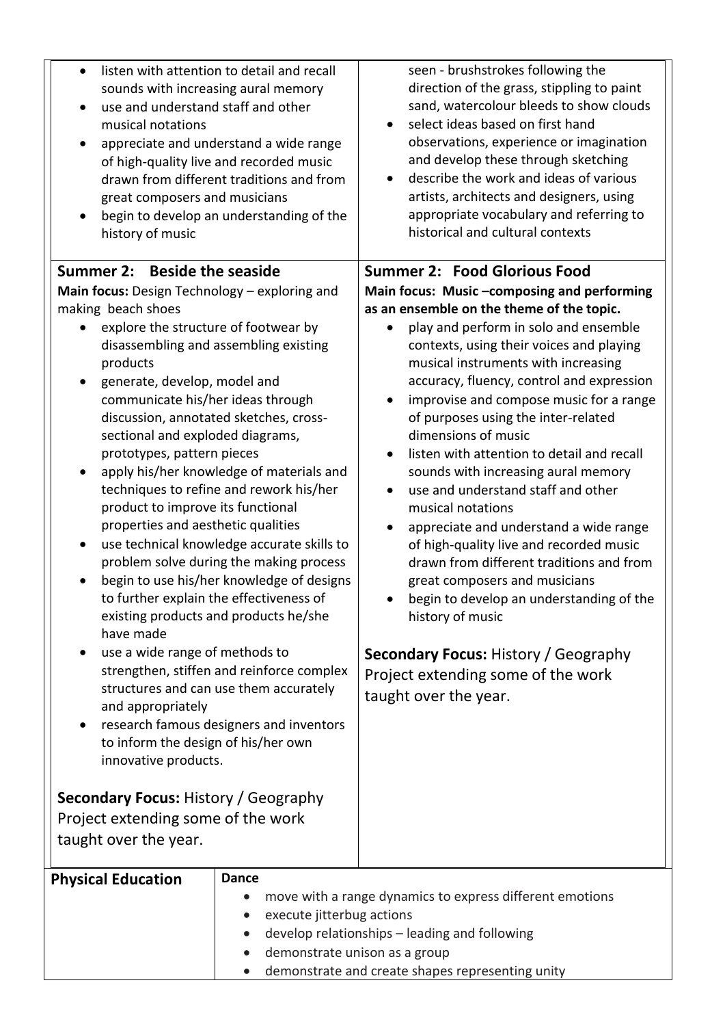| listen with attention to detail and recall<br>$\bullet$<br>sounds with increasing aural memory<br>use and understand staff and other<br>$\bullet$<br>musical notations<br>appreciate and understand a wide range<br>$\bullet$<br>of high-quality live and recorded music<br>drawn from different traditions and from<br>great composers and musicians<br>begin to develop an understanding of the<br>history of music<br>Summer 2: Beside the seaside                                                                                                                                                                                                                                                                                                                                                                                                                                                                                                                                                                                                                                                   |                                                                            | seen - brushstrokes following the<br>direction of the grass, stippling to paint<br>sand, watercolour bleeds to show clouds<br>select ideas based on first hand<br>observations, experience or imagination<br>and develop these through sketching<br>describe the work and ideas of various<br>artists, architects and designers, using<br>appropriate vocabulary and referring to<br>historical and cultural contexts<br><b>Summer 2: Food Glorious Food</b>                                                                                                                                                                                                                                                                                                                                                                                                               |
|---------------------------------------------------------------------------------------------------------------------------------------------------------------------------------------------------------------------------------------------------------------------------------------------------------------------------------------------------------------------------------------------------------------------------------------------------------------------------------------------------------------------------------------------------------------------------------------------------------------------------------------------------------------------------------------------------------------------------------------------------------------------------------------------------------------------------------------------------------------------------------------------------------------------------------------------------------------------------------------------------------------------------------------------------------------------------------------------------------|----------------------------------------------------------------------------|----------------------------------------------------------------------------------------------------------------------------------------------------------------------------------------------------------------------------------------------------------------------------------------------------------------------------------------------------------------------------------------------------------------------------------------------------------------------------------------------------------------------------------------------------------------------------------------------------------------------------------------------------------------------------------------------------------------------------------------------------------------------------------------------------------------------------------------------------------------------------|
| Main focus: Design Technology - exploring and<br>making beach shoes<br>explore the structure of footwear by<br>disassembling and assembling existing<br>products<br>generate, develop, model and<br>communicate his/her ideas through<br>discussion, annotated sketches, cross-<br>sectional and exploded diagrams,<br>prototypes, pattern pieces<br>apply his/her knowledge of materials and<br>techniques to refine and rework his/her<br>product to improve its functional<br>properties and aesthetic qualities<br>use technical knowledge accurate skills to<br>problem solve during the making process<br>begin to use his/her knowledge of designs<br>to further explain the effectiveness of<br>existing products and products he/she<br>have made<br>use a wide range of methods to<br>strengthen, stiffen and reinforce complex<br>structures and can use them accurately<br>and appropriately<br>research famous designers and inventors<br>to inform the design of his/her own<br>innovative products.<br><b>Secondary Focus: History / Geography</b><br>Project extending some of the work |                                                                            | Main focus: Music -composing and performing<br>as an ensemble on the theme of the topic.<br>play and perform in solo and ensemble<br>contexts, using their voices and playing<br>musical instruments with increasing<br>accuracy, fluency, control and expression<br>improvise and compose music for a range<br>of purposes using the inter-related<br>dimensions of music<br>listen with attention to detail and recall<br>sounds with increasing aural memory<br>use and understand staff and other<br>musical notations<br>appreciate and understand a wide range<br>of high-quality live and recorded music<br>drawn from different traditions and from<br>great composers and musicians<br>begin to develop an understanding of the<br>history of music<br><b>Secondary Focus: History / Geography</b><br>Project extending some of the work<br>taught over the year. |
| taught over the year.                                                                                                                                                                                                                                                                                                                                                                                                                                                                                                                                                                                                                                                                                                                                                                                                                                                                                                                                                                                                                                                                                   |                                                                            |                                                                                                                                                                                                                                                                                                                                                                                                                                                                                                                                                                                                                                                                                                                                                                                                                                                                            |
| <b>Physical Education</b>                                                                                                                                                                                                                                                                                                                                                                                                                                                                                                                                                                                                                                                                                                                                                                                                                                                                                                                                                                                                                                                                               | <b>Dance</b><br>execute jitterbug actions<br>demonstrate unison as a group | move with a range dynamics to express different emotions<br>develop relationships - leading and following<br>demonstrate and create shapes representing unity                                                                                                                                                                                                                                                                                                                                                                                                                                                                                                                                                                                                                                                                                                              |